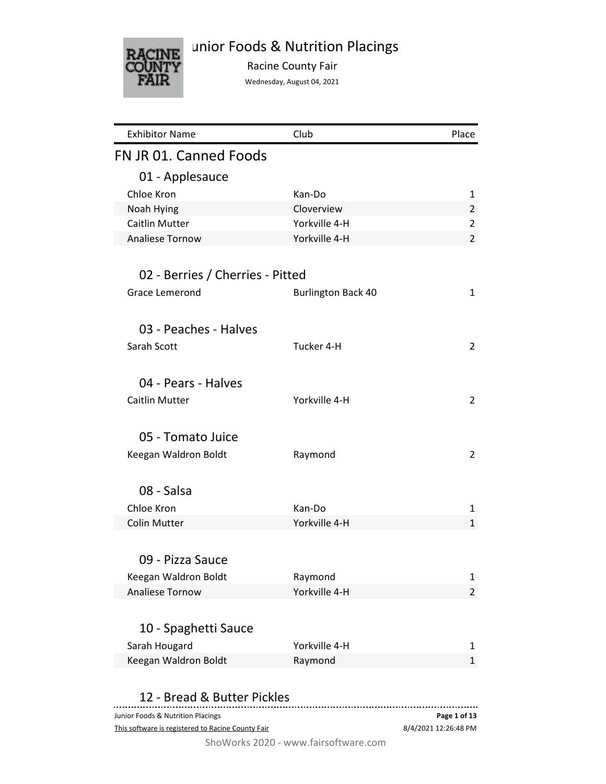# unior Foods & Nutrition Placings



Racine County Fair

Wednesday, August 04, 2021

| <b>Exhibitor Name</b>             | Club                      | Place          |
|-----------------------------------|---------------------------|----------------|
| FN JR 01. Canned Foods            |                           |                |
| 01 - Applesauce                   |                           |                |
| Chloe Kron                        | Kan-Do                    | 1              |
| Noah Hying                        | Cloverview                | $\overline{2}$ |
| Caitlin Mutter                    | Yorkville 4-H             | $\overline{2}$ |
| <b>Analiese Tornow</b>            | Yorkville 4-H             | $\overline{2}$ |
|                                   |                           |                |
| 02 - Berries / Cherries - Pitted  |                           |                |
| <b>Grace Lemerond</b>             | <b>Burlington Back 40</b> | $\mathbf{1}$   |
|                                   |                           |                |
| 03 - Peaches - Halves             |                           |                |
| Sarah Scott                       | Tucker 4-H                | $\overline{2}$ |
|                                   |                           |                |
| 04 - Pears - Halves               |                           |                |
| Caitlin Mutter                    | Yorkville 4-H             | $\overline{2}$ |
|                                   |                           |                |
| 05 - Tomato Juice                 |                           |                |
|                                   |                           |                |
| Keegan Waldron Boldt              | Raymond                   | $\overline{2}$ |
|                                   |                           |                |
| 08 - Salsa                        |                           |                |
| Chloe Kron                        | Kan-Do                    | $\mathbf{1}$   |
| <b>Colin Mutter</b>               | Yorkville 4-H             | $\mathbf{1}$   |
|                                   |                           |                |
| 09 - Pizza Sauce                  |                           |                |
| Keegan Waldron Boldt              | Raymond                   | 1              |
| Analiese Tornow                   | Yorkville 4-H             | 2              |
|                                   |                           |                |
| 10 - Spaghetti Sauce              |                           |                |
| Sarah Hougard                     | Yorkville 4-H             | 1              |
| Keegan Waldron Boldt              | Raymond                   | $\mathbf{1}$   |
|                                   |                           |                |
| 12 - Bread & Butter Pickles       |                           |                |
| Junior Foods & Nutrition Placings |                           | Page 1 of 13   |

This software is registered to Racine County Fair

8/4/2021 12:26:48 PM **Page 1 of 13**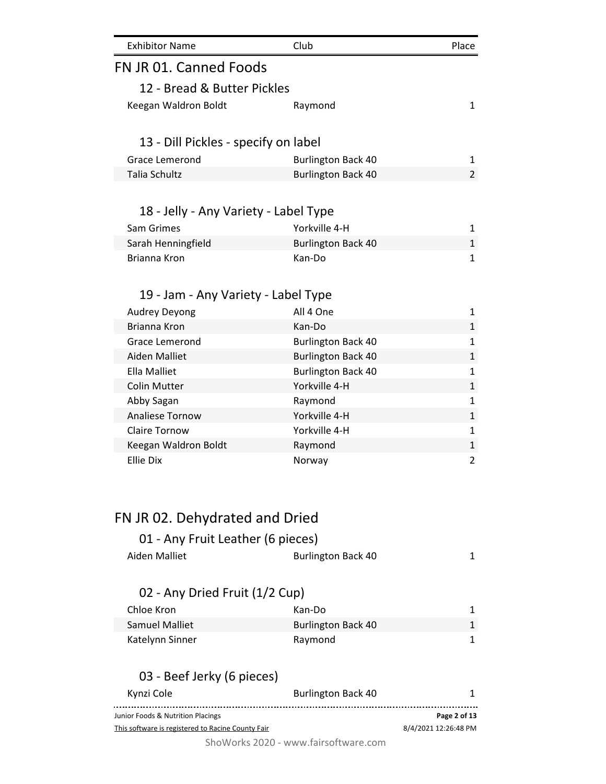| <b>Exhibitor Name</b>                             | Club                                 | Place                |
|---------------------------------------------------|--------------------------------------|----------------------|
| FN JR 01. Canned Foods                            |                                      |                      |
| 12 - Bread & Butter Pickles                       |                                      |                      |
| Keegan Waldron Boldt                              | Raymond                              | $\mathbf{1}$         |
| 13 - Dill Pickles - specify on label              |                                      |                      |
| <b>Grace Lemerond</b>                             | <b>Burlington Back 40</b>            | 1                    |
| <b>Talia Schultz</b>                              | <b>Burlington Back 40</b>            | $\overline{2}$       |
|                                                   |                                      |                      |
| 18 - Jelly - Any Variety - Label Type             |                                      |                      |
| Sam Grimes                                        | Yorkville 4-H                        | 1                    |
| Sarah Henningfield                                | <b>Burlington Back 40</b>            | $\mathbf{1}$         |
| Brianna Kron                                      | Kan-Do                               | $\mathbf{1}$         |
|                                                   |                                      |                      |
| 19 - Jam - Any Variety - Label Type               |                                      |                      |
| <b>Audrey Deyong</b>                              | All 4 One                            | 1                    |
| Brianna Kron                                      | Kan-Do                               | $\mathbf{1}$         |
| Grace Lemerond                                    | <b>Burlington Back 40</b>            | $\mathbf{1}$         |
| <b>Aiden Malliet</b>                              | <b>Burlington Back 40</b>            | $\mathbf{1}$         |
| <b>Ella Malliet</b>                               | <b>Burlington Back 40</b>            | $\mathbf{1}$         |
| <b>Colin Mutter</b>                               | Yorkville 4-H                        | $\mathbf{1}$         |
| Abby Sagan                                        | Raymond                              | $\mathbf{1}$         |
| <b>Analiese Tornow</b>                            | Yorkville 4-H                        | $\mathbf{1}$         |
| <b>Claire Tornow</b>                              | Yorkville 4-H                        | $\mathbf{1}$         |
| Keegan Waldron Boldt                              | Raymond                              | $\mathbf{1}$         |
| <b>Ellie Dix</b>                                  | Norway                               | $\overline{2}$       |
| FN JR 02. Dehydrated and Dried                    |                                      |                      |
|                                                   |                                      |                      |
| 01 - Any Fruit Leather (6 pieces)                 |                                      |                      |
| <b>Aiden Malliet</b>                              | <b>Burlington Back 40</b>            | 1                    |
| 02 - Any Dried Fruit (1/2 Cup)                    |                                      |                      |
| Chloe Kron                                        | Kan-Do                               | 1                    |
| <b>Samuel Malliet</b>                             | <b>Burlington Back 40</b>            | 1                    |
| Katelynn Sinner                                   | Raymond                              | 1                    |
|                                                   |                                      |                      |
| 03 - Beef Jerky (6 pieces)                        |                                      |                      |
| Kynzi Cole                                        | <b>Burlington Back 40</b><br>        | 1                    |
| Junior Foods & Nutrition Placings                 |                                      | Page 2 of 13         |
| This software is registered to Racine County Fair |                                      | 8/4/2021 12:26:48 PM |
|                                                   | ShoWorks 2020 - www.fairsoftware.com |                      |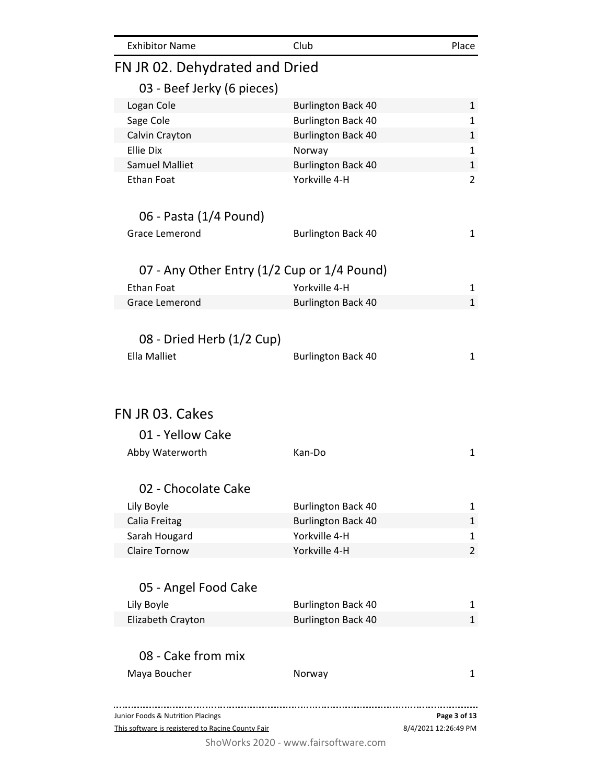|                                             | Club                                                   | Place                                                         |
|---------------------------------------------|--------------------------------------------------------|---------------------------------------------------------------|
| FN JR 02. Dehydrated and Dried              |                                                        |                                                               |
| 03 - Beef Jerky (6 pieces)                  |                                                        |                                                               |
| Logan Cole                                  | <b>Burlington Back 40</b>                              | $\mathbf{1}$                                                  |
| Sage Cole                                   | <b>Burlington Back 40</b>                              | 1                                                             |
| Calvin Crayton                              | <b>Burlington Back 40</b>                              | $\mathbf{1}$                                                  |
| <b>Ellie Dix</b>                            | Norway                                                 | $\mathbf{1}$                                                  |
| <b>Samuel Malliet</b>                       | <b>Burlington Back 40</b>                              | $\mathbf{1}$                                                  |
| <b>Ethan Foat</b>                           | Yorkville 4-H                                          | $\overline{2}$                                                |
| 06 - Pasta (1/4 Pound)                      |                                                        |                                                               |
| <b>Grace Lemerond</b>                       | <b>Burlington Back 40</b>                              | $\mathbf{1}$                                                  |
| 07 - Any Other Entry (1/2 Cup or 1/4 Pound) |                                                        |                                                               |
| <b>Ethan Foat</b>                           | Yorkville 4-H                                          |                                                               |
| <b>Grace Lemerond</b>                       |                                                        | 1<br>$\mathbf{1}$                                             |
|                                             | <b>Burlington Back 40</b>                              |                                                               |
| 08 - Dried Herb (1/2 Cup)                   |                                                        |                                                               |
| <b>Ella Malliet</b>                         | <b>Burlington Back 40</b>                              | $\mathbf{1}$                                                  |
|                                             |                                                        |                                                               |
| 01 - Yellow Cake                            |                                                        |                                                               |
| Abby Waterworth                             | Kan-Do                                                 |                                                               |
| 02 - Chocolate Cake                         |                                                        |                                                               |
|                                             |                                                        | $\mathbf{1}$<br>1                                             |
| Lily Boyle                                  | <b>Burlington Back 40</b>                              | 1                                                             |
| Calia Freitag<br>Sarah Hougard              | <b>Burlington Back 40</b><br>Yorkville 4-H             |                                                               |
| <b>Claire Tornow</b>                        | Yorkville 4-H                                          |                                                               |
|                                             |                                                        |                                                               |
| 05 - Angel Food Cake                        |                                                        |                                                               |
| Lily Boyle<br>Elizabeth Crayton             | <b>Burlington Back 40</b><br><b>Burlington Back 40</b> |                                                               |
|                                             |                                                        |                                                               |
| 08 - Cake from mix                          |                                                        |                                                               |
| FN JR 03. Cakes<br>Maya Boucher             | Norway                                                 |                                                               |
| Junior Foods & Nutrition Placings           |                                                        | 1<br>$\overline{2}$<br>1<br>$\mathbf{1}$<br>1<br>Page 3 of 13 |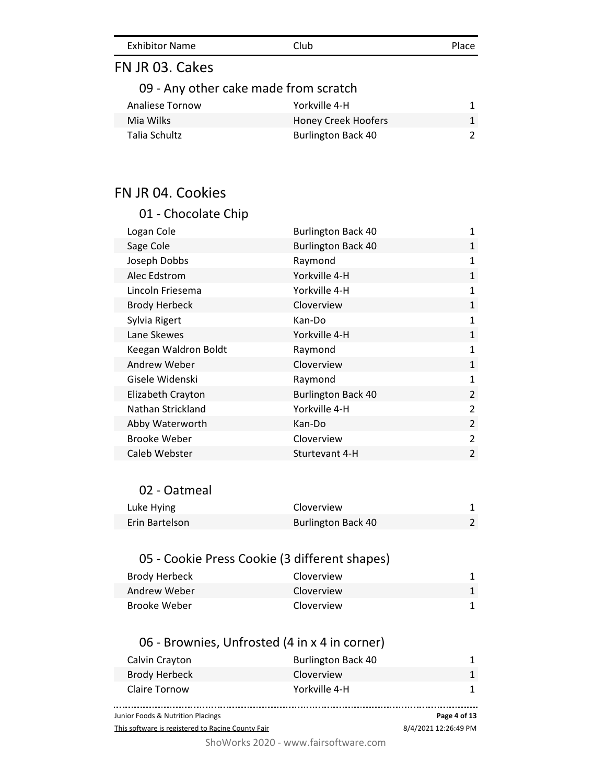| <b>Exhibitor Name</b> | Club |  | Place |
|-----------------------|------|--|-------|
|-----------------------|------|--|-------|

# FN JR 03. Cakes

## 09 - Any other cake made from scratch

| Analiese Tornow | Yorkville 4-H             |  |
|-----------------|---------------------------|--|
| Mia Wilks       | Honey Creek Hoofers       |  |
| Talia Schultz   | <b>Burlington Back 40</b> |  |

# FN JR 04. Cookies

| 01 - Chocolate Chip  |                           |                |
|----------------------|---------------------------|----------------|
| Logan Cole           | <b>Burlington Back 40</b> | $\mathbf{1}$   |
| Sage Cole            | <b>Burlington Back 40</b> | $\mathbf{1}$   |
| Joseph Dobbs         | Raymond                   | $\mathbf{1}$   |
| Alec Edstrom         | Yorkville 4-H             | $\mathbf{1}$   |
| Lincoln Friesema     | Yorkville 4-H             | $\mathbf{1}$   |
| <b>Brody Herbeck</b> | Cloverview                | $\mathbf{1}$   |
| Sylvia Rigert        | Kan-Do                    | 1              |
| Lane Skewes          | Yorkville 4-H             | $\mathbf{1}$   |
| Keegan Waldron Boldt | Raymond                   | $\mathbf{1}$   |
| Andrew Weber         | Cloverview                | $\mathbf{1}$   |
| Gisele Widenski      | Raymond                   | 1              |
| Elizabeth Crayton    | <b>Burlington Back 40</b> | $\overline{2}$ |
| Nathan Strickland    | Yorkville 4-H             | $\overline{2}$ |
| Abby Waterworth      | Kan-Do                    | $\overline{2}$ |
| Brooke Weber         | Cloverview                | $\overline{2}$ |
| Caleb Webster        | Sturtevant 4-H            | $\overline{2}$ |
|                      |                           |                |

#### 02 - Oatmeal

| Luke Hying     | Cloverview                |  |
|----------------|---------------------------|--|
| Erin Bartelson | <b>Burlington Back 40</b> |  |

# 05 - Cookie Press Cookie (3 different shapes)

| Brody Herbeck | Cloverview |  |
|---------------|------------|--|
| Andrew Weber  | Cloverview |  |
| Brooke Weber  | Cloverview |  |

# 06 - Brownies, Unfrosted (4 in x 4 in corner)

| Calvin Crayton | <b>Burlington Back 40</b> |  |
|----------------|---------------------------|--|
| Brody Herbeck  | Cloverview                |  |
| Claire Tornow  | Yorkville 4-H             |  |
|                |                           |  |

Junior Foods & Nutrition Placings

This software is registered to Racine County Fair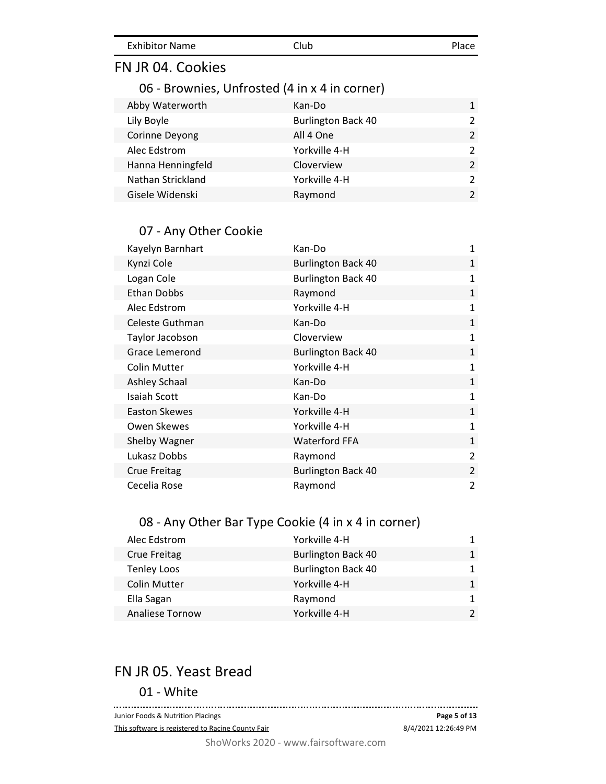| <b>Exhibitor Name</b> | Club | Place |
|-----------------------|------|-------|
|                       |      |       |

# FN JR 04. Cookies

## 06 - Brownies, Unfrosted (4 in x 4 in corner)

| Kan-Do                    | $\mathbf{1}$  |
|---------------------------|---------------|
| <b>Burlington Back 40</b> | $\mathcal{P}$ |
| All 4 One                 | $\mathcal{P}$ |
| Yorkville 4-H             |               |
| Cloverview                | $\mathcal{P}$ |
| Yorkville 4-H             | 2             |
| Raymond                   |               |
|                           |               |

## 07 - Any Other Cookie

| Kayelyn Barnhart     | Kan-Do                    | 1              |
|----------------------|---------------------------|----------------|
| Kynzi Cole           | <b>Burlington Back 40</b> | $\mathbf{1}$   |
| Logan Cole           | <b>Burlington Back 40</b> | 1              |
| Ethan Dobbs          | Raymond                   | $\mathbf{1}$   |
| Alec Edstrom         | Yorkville 4-H             | 1              |
| Celeste Guthman      | Kan-Do                    | $\mathbf{1}$   |
| Taylor Jacobson      | Cloverview                | $\mathbf{1}$   |
| Grace Lemerond       | <b>Burlington Back 40</b> | $\mathbf{1}$   |
| Colin Mutter         | Yorkville 4-H             | $\mathbf{1}$   |
| <b>Ashley Schaal</b> | Kan-Do                    | $\mathbf{1}$   |
| <b>Isaiah Scott</b>  | Kan-Do                    | $\mathbf{1}$   |
| Easton Skewes        | Yorkville 4-H             | $\mathbf{1}$   |
| Owen Skewes          | Yorkville 4-H             | $\mathbf{1}$   |
| Shelby Wagner        | <b>Waterford FFA</b>      | $\mathbf{1}$   |
| Lukasz Dobbs         | Raymond                   | $\overline{2}$ |
| Crue Freitag         | <b>Burlington Back 40</b> | $\overline{2}$ |
| Cecelia Rose         | Raymond                   | $\overline{2}$ |

# 08 - Any Other Bar Type Cookie (4 in x 4 in corner)

| Alec Edstrom           | Yorkville 4-H             |              |
|------------------------|---------------------------|--------------|
| <b>Crue Freitag</b>    | <b>Burlington Back 40</b> | $\mathbf{1}$ |
| <b>Tenley Loos</b>     | <b>Burlington Back 40</b> | 1.           |
| <b>Colin Mutter</b>    | Yorkville 4-H             |              |
| Ella Sagan             | Raymond                   | 1.           |
| <b>Analiese Tornow</b> | Yorkville 4-H             |              |

# FN JR 05. Yeast Bread

#### 01 - White

. . . . . . . . . . . . . . . . Junior Foods & Nutrition Placings **Page 5 of 13** This software is registered to Racine County Fair 8/4/2021 12:26:49 PM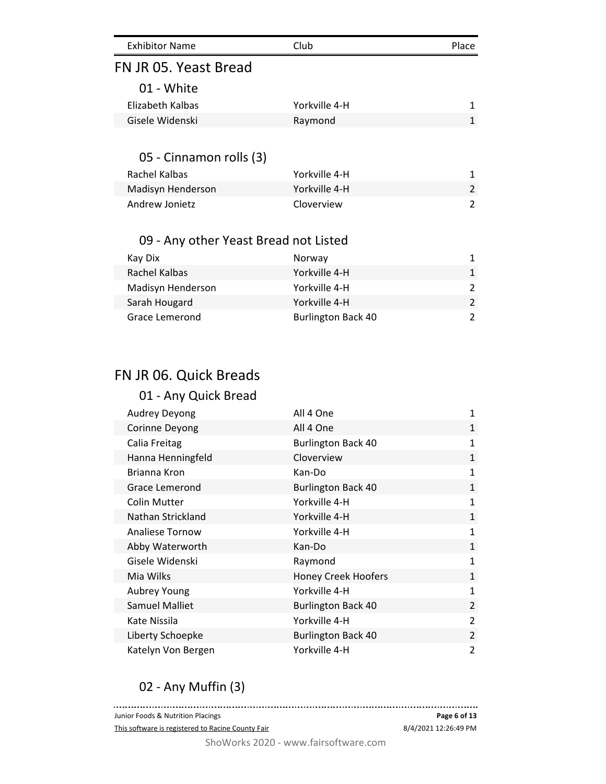| <b>Exhibitor Name</b>                 | Club                      | Place          |
|---------------------------------------|---------------------------|----------------|
| FN JR 05. Yeast Bread                 |                           |                |
| 01 - White                            |                           |                |
| Elizabeth Kalbas                      | Yorkville 4-H             | $\mathbf{1}$   |
| Gisele Widenski                       | Raymond                   | $\mathbf{1}$   |
|                                       |                           |                |
| 05 - Cinnamon rolls (3)               |                           |                |
| Rachel Kalbas                         | Yorkville 4-H             | $\mathbf{1}$   |
| Madisyn Henderson                     | Yorkville 4-H             | 2              |
| Andrew Jonietz                        | Cloverview                | $\mathfrak{p}$ |
|                                       |                           |                |
| 09 - Any other Yeast Bread not Listed |                           |                |
| Kay Dix                               | Norway                    | 1              |
| Rachel Kalbas                         | Yorkville 4-H             | $\mathbf{1}$   |
| Madisyn Henderson                     | Yorkville 4-H             | $\overline{2}$ |
| Sarah Hougard                         | Yorkville 4-H             | $\overline{2}$ |
| Grace Lemerond                        | <b>Burlington Back 40</b> | 2              |

# FN JR 06. Quick Breads

| 01 - Any Quick Bread   |                            |                |
|------------------------|----------------------------|----------------|
| <b>Audrey Deyong</b>   | All 4 One                  | 1              |
| Corinne Deyong         | All 4 One                  | $\mathbf{1}$   |
| Calia Freitag          | <b>Burlington Back 40</b>  | $\mathbf{1}$   |
| Hanna Henningfeld      | Cloverview                 | 1              |
| Brianna Kron           | Kan-Do                     | 1              |
| Grace Lemerond         | <b>Burlington Back 40</b>  | 1              |
| Colin Mutter           | Yorkville 4-H              | 1              |
| Nathan Strickland      | Yorkville 4-H              | $\mathbf{1}$   |
| <b>Analiese Tornow</b> | Yorkville 4-H              | $\mathbf{1}$   |
| Abby Waterworth        | Kan-Do                     | $\mathbf{1}$   |
| Gisele Widenski        | Raymond                    | $\mathbf{1}$   |
| Mia Wilks              | <b>Honey Creek Hoofers</b> | $\mathbf{1}$   |
| Aubrey Young           | Yorkville 4-H              | 1              |
| <b>Samuel Malliet</b>  | <b>Burlington Back 40</b>  | $\overline{2}$ |
| Kate Nissila           | Yorkville 4-H              | $\overline{2}$ |
| Liberty Schoepke       | <b>Burlington Back 40</b>  | $\overline{2}$ |
| Katelyn Von Bergen     | Yorkville 4-H              | 2              |

# 02 - Any Muffin (3)

**Page 6 of 13** Junior Foods & Nutrition Placings This software is registered to Racine County Fair 8/4/2021 12:26:49 PM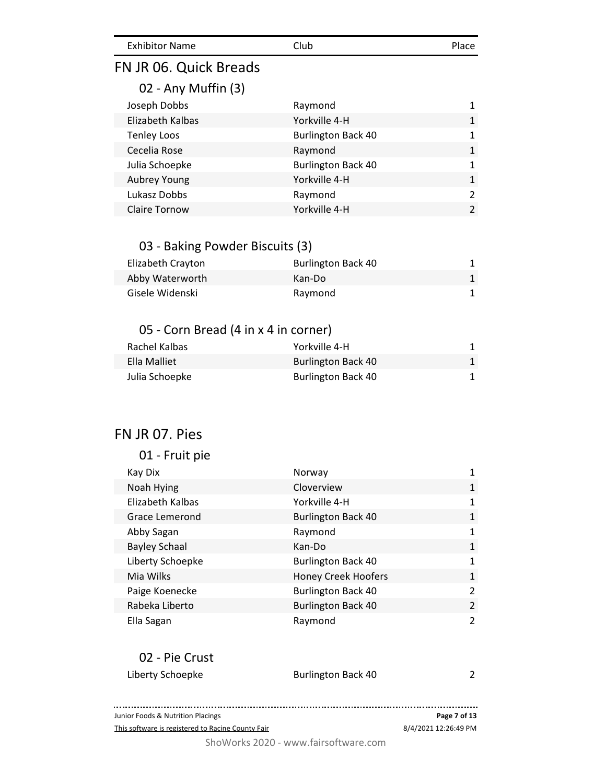| <b>Exhibitor Name</b><br>Club<br>Place |
|----------------------------------------|
|----------------------------------------|

# FN JR 06. Quick Breads

## 02 - Any Muffin (3)

| Joseph Dobbs         | Raymond                   |               |
|----------------------|---------------------------|---------------|
| Elizabeth Kalbas     | Yorkville 4-H             | 1             |
| <b>Tenley Loos</b>   | <b>Burlington Back 40</b> | 1             |
| Cecelia Rose         | Raymond                   | 1             |
| Julia Schoepke       | <b>Burlington Back 40</b> | 1             |
| Aubrey Young         | Yorkville 4-H             | 1             |
| Lukasz Dobbs         | Raymond                   | $\mathcal{P}$ |
| <b>Claire Tornow</b> | Yorkville 4-H             | $\mathcal{P}$ |

## 03 - Baking Powder Biscuits (3)

| Elizabeth Crayton | <b>Burlington Back 40</b> |  |
|-------------------|---------------------------|--|
| Abby Waterworth   | Kan-Do                    |  |
| Gisele Widenski   | Raymond                   |  |

#### 05 - Corn Bread (4 in x 4 in corner)

| Rachel Kalbas  | Yorkville 4-H             |  |
|----------------|---------------------------|--|
| Ella Malliet   | <b>Burlington Back 40</b> |  |
| Julia Schoepke | <b>Burlington Back 40</b> |  |

# FN JR 07. Pies

#### 01 - Fruit pie

| Kay Dix              | Norway                     |                |
|----------------------|----------------------------|----------------|
| Noah Hying           | Cloverview                 | $\mathbf{1}$   |
| Elizabeth Kalbas     | Yorkville 4-H              | 1              |
| Grace Lemerond       | <b>Burlington Back 40</b>  | 1              |
| Abby Sagan           | Raymond                    | 1              |
| <b>Bayley Schaal</b> | Kan-Do                     | 1              |
| Liberty Schoepke     | <b>Burlington Back 40</b>  | 1              |
| Mia Wilks            | <b>Honey Creek Hoofers</b> | 1              |
| Paige Koenecke       | <b>Burlington Back 40</b>  | $\mathcal{P}$  |
| Rabeka Liberto       | <b>Burlington Back 40</b>  | $\overline{2}$ |
| Ella Sagan           | Raymond                    | $\mathfrak{p}$ |

#### 02 - Pie Crust

| Liberty Schoepke | <b>Burlington Back 40</b> | ີ |
|------------------|---------------------------|---|
|                  |                           |   |

#### 8/4/2021 12:26:49 PM **Page 7 of 13**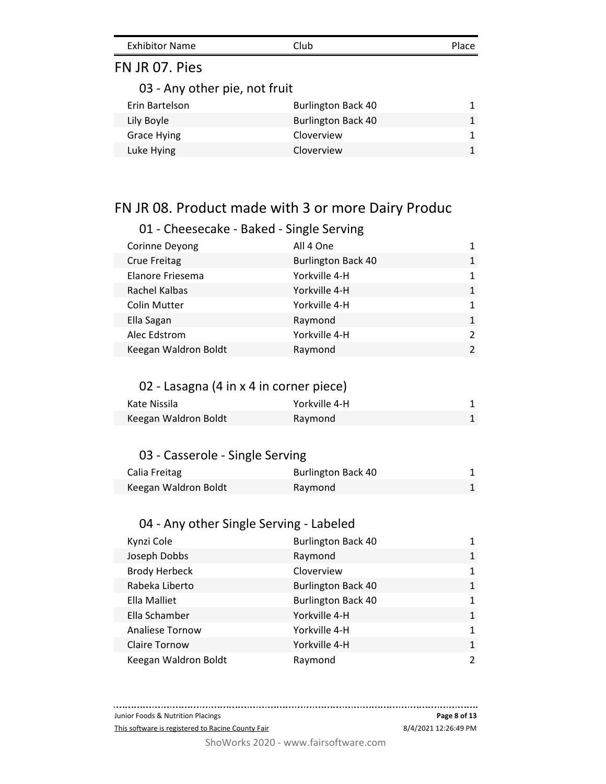| <b>Exhibitor Name</b><br>Club | Place |
|-------------------------------|-------|
|-------------------------------|-------|

# FN JR 07. Pies

03 - Any other pie, not fruit

| Erin Bartelson | <b>Burlington Back 40</b> |   |
|----------------|---------------------------|---|
| Lily Boyle     | <b>Burlington Back 40</b> |   |
| Grace Hying    | Cloverview                |   |
| Luke Hying     | Cloverview                | 1 |

# FN JR 08. Product made with 3 or more Dairy Produc

#### 01 - Cheesecake - Baked - Single Serving

| Corinne Deyong       | All 4 One                 |               |
|----------------------|---------------------------|---------------|
| <b>Crue Freitag</b>  | <b>Burlington Back 40</b> | $\mathbf{1}$  |
| Elanore Friesema     | Yorkville 4-H             | 1             |
| Rachel Kalbas        | Yorkville 4-H             | $\mathbf{1}$  |
| <b>Colin Mutter</b>  | Yorkville 4-H             |               |
| Ella Sagan           | Raymond                   | $\mathbf{1}$  |
| Alec Edstrom         | Yorkville 4-H             | $\mathcal{P}$ |
| Keegan Waldron Boldt | Raymond                   | $\mathcal{P}$ |

#### 02 - Lasagna (4 in x 4 in corner piece)

| Kate Nissila         | Yorkville 4-H |  |
|----------------------|---------------|--|
| Keegan Waldron Boldt | Raymond       |  |

#### 03 - Casserole - Single Serving

| Calia Freitag        | <b>Burlington Back 40</b> |  |
|----------------------|---------------------------|--|
| Keegan Waldron Boldt | Raymond                   |  |

## 04 - Any other Single Serving - Labeled

| Kynzi Cole             | <b>Burlington Back 40</b> |               |
|------------------------|---------------------------|---------------|
| Joseph Dobbs           | Raymond                   | $\mathbf{1}$  |
| <b>Brody Herbeck</b>   | Cloverview                | 1             |
| Rabeka Liberto         | <b>Burlington Back 40</b> | $\mathbf{1}$  |
| Ella Malliet           | <b>Burlington Back 40</b> | $\mathbf{1}$  |
| Ella Schamber          | Yorkville 4-H             | $\mathbf{1}$  |
| <b>Analiese Tornow</b> | Yorkville 4-H             | $\mathbf{1}$  |
| <b>Claire Tornow</b>   | Yorkville 4-H             | $\mathbf{1}$  |
| Keegan Waldron Boldt   | Raymond                   | $\mathcal{L}$ |

Junior Foods & Nutrition Placings

This software is registered to Racine County Fair

. . . . . . . . . . . . . . .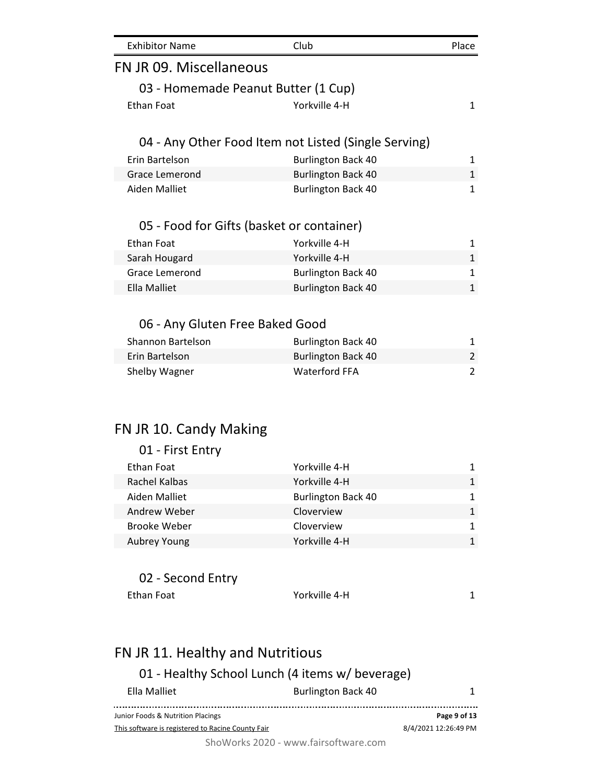| <b>Exhibitor Name</b>                     | Club                                                 | Place          |
|-------------------------------------------|------------------------------------------------------|----------------|
| FN JR 09. Miscellaneous                   |                                                      |                |
| 03 - Homemade Peanut Butter (1 Cup)       |                                                      |                |
| <b>Ethan Foat</b>                         | Yorkville 4-H                                        | $\mathbf{1}$   |
|                                           | 04 - Any Other Food Item not Listed (Single Serving) |                |
| Erin Bartelson                            | <b>Burlington Back 40</b>                            | 1              |
| <b>Grace Lemerond</b>                     | <b>Burlington Back 40</b>                            | $\mathbf{1}$   |
| <b>Aiden Malliet</b>                      | <b>Burlington Back 40</b>                            | $\mathbf{1}$   |
| 05 - Food for Gifts (basket or container) |                                                      |                |
| <b>Ethan Foat</b>                         | Yorkville 4-H                                        | 1              |
| Sarah Hougard                             | Yorkville 4-H                                        | $\mathbf{1}$   |
| Grace Lemerond                            | <b>Burlington Back 40</b>                            | $\mathbf{1}$   |
| <b>Ella Malliet</b>                       | <b>Burlington Back 40</b>                            | $\overline{1}$ |
|                                           |                                                      |                |
| 06 - Any Gluten Free Baked Good           |                                                      |                |
| <b>Shannon Bartelson</b>                  | <b>Burlington Back 40</b>                            | 1              |
| Erin Bartelson                            | <b>Burlington Back 40</b>                            | $\overline{c}$ |
| Shelby Wagner                             | <b>Waterford FFA</b>                                 | $\overline{c}$ |
|                                           |                                                      |                |
| FN JR 10. Candy Making                    |                                                      |                |
| 01 - First Entry                          |                                                      |                |
| <b>Ethan Foat</b>                         | Yorkville 4-H                                        | 1              |
| Rachel Kalbas                             | Yorkville 4-H                                        | 1              |
| Aiden Malliet                             | <b>Burlington Back 40</b>                            | 1              |
| Andrew Weber                              | Cloverview                                           | 1              |
| <b>Brooke Weber</b>                       | Cloverview                                           | 1              |
| Aubrey Young                              | Yorkville 4-H                                        | $\mathbf{1}$   |
|                                           |                                                      |                |
| 02 - Second Entry                         |                                                      |                |
| <b>Ethan Foat</b>                         | Yorkville 4-H                                        | 1              |
|                                           |                                                      |                |

#### FN JR 11. Healthy and Nutritious 01 - Healthy School Lunch (4 items w/ beverage) Ella Malliet **Burlington Back 40** 1 **Page 9 of 13** Junior Foods & Nutrition Placings This software is registered to Racine County Fair 8/4/2021 12:26:49 PM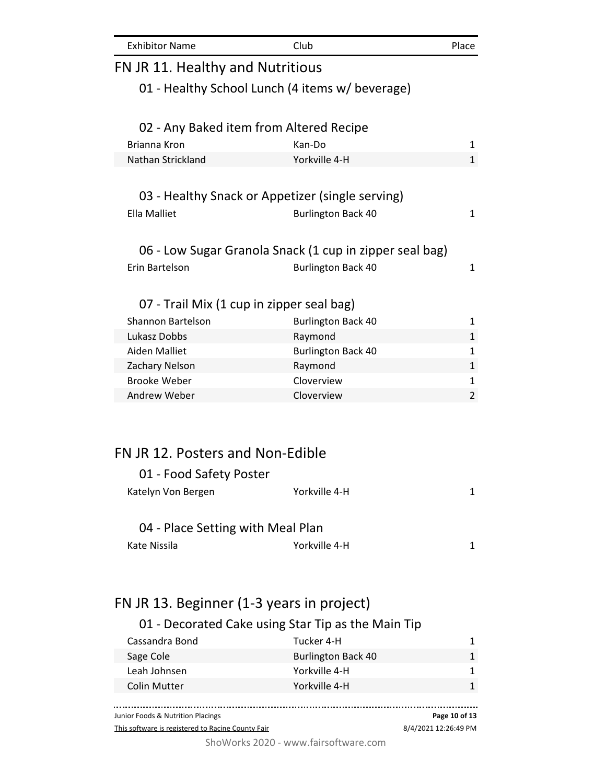| <b>Exhibitor Name</b>             | Club                                                    | Place        |  |
|-----------------------------------|---------------------------------------------------------|--------------|--|
| FN JR 11. Healthy and Nutritious  |                                                         |              |  |
|                                   | 01 - Healthy School Lunch (4 items w/ beverage)         |              |  |
|                                   |                                                         |              |  |
|                                   | 02 - Any Baked item from Altered Recipe                 |              |  |
| Brianna Kron                      | Kan-Do                                                  | 1            |  |
| Nathan Strickland                 | Yorkville 4-H                                           | $\mathbf{1}$ |  |
|                                   |                                                         |              |  |
|                                   | 03 - Healthy Snack or Appetizer (single serving)        |              |  |
| <b>Ella Malliet</b>               | <b>Burlington Back 40</b>                               | 1            |  |
|                                   |                                                         |              |  |
|                                   | 06 - Low Sugar Granola Snack (1 cup in zipper seal bag) |              |  |
| Erin Bartelson                    | <b>Burlington Back 40</b>                               | $\mathbf{1}$ |  |
|                                   |                                                         |              |  |
|                                   | 07 - Trail Mix (1 cup in zipper seal bag)               |              |  |
| Shannon Bartelson                 | <b>Burlington Back 40</b>                               | 1            |  |
| Lukasz Dobbs                      | Raymond                                                 | $\mathbf{1}$ |  |
| Aiden Malliet                     | <b>Burlington Back 40</b>                               | $\mathbf{1}$ |  |
| Zachary Nelson                    | Raymond                                                 | 1            |  |
| <b>Brooke Weber</b>               | Cloverview                                              | $\mathbf{1}$ |  |
| Andrew Weber                      | Cloverview                                              | 2            |  |
|                                   |                                                         |              |  |
|                                   |                                                         |              |  |
| FN JR 12. Posters and Non-Edible  |                                                         |              |  |
| 01 - Food Safety Poster           |                                                         |              |  |
| Katelyn Von Bergen                | Yorkville 4-H                                           | 1            |  |
|                                   |                                                         |              |  |
| 04 - Place Setting with Meal Plan |                                                         |              |  |
| Kate Nissila                      | Yorkville 4-H                                           | 1            |  |
|                                   |                                                         |              |  |

# FN JR 13. Beginner (1-3 years in project)

# 01 - Decorated Cake using Star Tip as the Main Tip

| Cassandra Bond | Tucker 4-H                |  |
|----------------|---------------------------|--|
| Sage Cole      | <b>Burlington Back 40</b> |  |
| Leah Johnsen   | Yorkville 4-H             |  |
| Colin Mutter   | Yorkville 4-H             |  |
|                |                           |  |

. . . . . . . . . . . . . . . . **Page 10 of 13** Junior Foods & Nutrition Placings This software is registered to Racine County Fair 8/4/2021 12:26:49 PM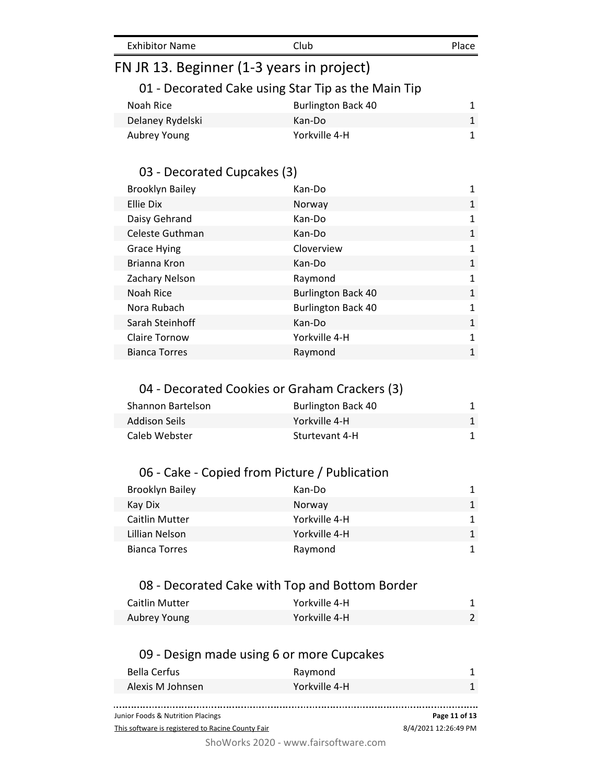| <b>Exhibitor Name</b> |
|-----------------------|
|-----------------------|

# FN JR 13. Beginner (1-3 years in project)

## 01 - Decorated Cake using Star Tip as the Main Tip

| Noah Rice        | <b>Burlington Back 40</b> |  |
|------------------|---------------------------|--|
| Delaney Rydelski | Kan-Do                    |  |
| Aubrey Young     | Yorkville 4-H             |  |

# 03 - Decorated Cupcakes (3)

| <b>Brooklyn Bailey</b> | Kan-Do                    | 1            |
|------------------------|---------------------------|--------------|
| Ellie Dix              | Norway                    | 1            |
| Daisy Gehrand          | Kan-Do                    | 1            |
| Celeste Guthman        | Kan-Do                    | 1            |
| <b>Grace Hying</b>     | Cloverview                | 1            |
| Brianna Kron           | Kan-Do                    | $\mathbf{1}$ |
| Zachary Nelson         | Raymond                   | 1            |
| Noah Rice              | <b>Burlington Back 40</b> | 1            |
| Nora Rubach            | <b>Burlington Back 40</b> | 1            |
| Sarah Steinhoff        | Kan-Do                    | 1            |
| <b>Claire Tornow</b>   | Yorkville 4-H             | 1            |
| <b>Bianca Torres</b>   | Raymond                   | 1            |
|                        |                           |              |

#### 04 - Decorated Cookies or Graham Crackers (3)

| Shannon Bartelson | <b>Burlington Back 40</b> |  |
|-------------------|---------------------------|--|
| Addison Seils     | Yorkville 4-H             |  |
| Caleb Webster     | Sturtevant 4-H            |  |

#### 06 - Cake - Copied from Picture / Publication

| <b>Brooklyn Bailey</b> | Kan-Do        | 1. |
|------------------------|---------------|----|
| Kay Dix                | Norway        | 1  |
| <b>Caitlin Mutter</b>  | Yorkville 4-H | 1. |
| Lillian Nelson         | Yorkville 4-H |    |
| <b>Bianca Torres</b>   | Raymond       |    |

#### 08 - Decorated Cake with Top and Bottom Border

| <b>Caitlin Mutter</b> | Yorkville 4-H |  |
|-----------------------|---------------|--|
| Aubrey Young          | Yorkville 4-H |  |

### 09 - Design made using 6 or more Cupcakes

| Junior Foods & Nutrition Placings | Page 11 of 13 |
|-----------------------------------|---------------|
|                                   |               |
| Alexis M Johnsen<br>Yorkville 4-H |               |
| Bella Cerfus<br>Raymond           |               |

This software is registered to Racine County Fair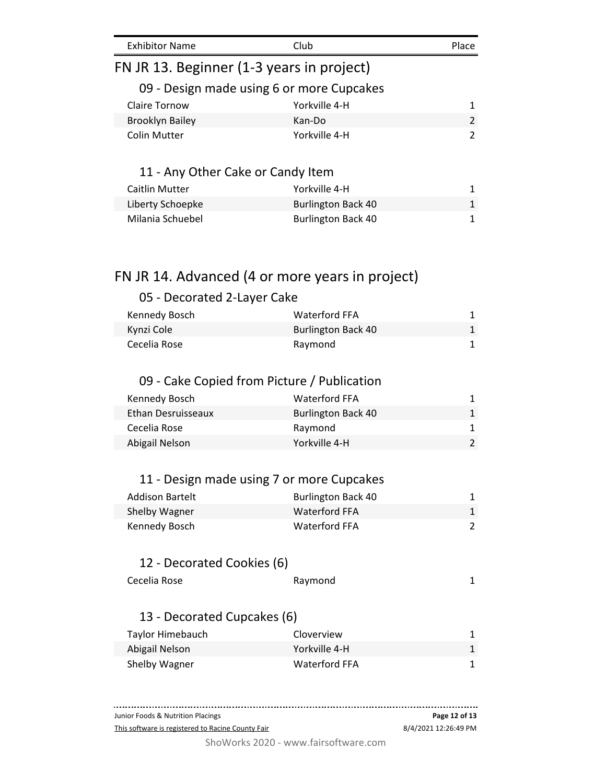| <b>Exhibitor Name</b>                     | Club                                            | Place          |
|-------------------------------------------|-------------------------------------------------|----------------|
| FN JR 13. Beginner (1-3 years in project) |                                                 |                |
|                                           | 09 - Design made using 6 or more Cupcakes       |                |
| <b>Claire Tornow</b>                      | Yorkville 4-H                                   | 1              |
| <b>Brooklyn Bailey</b>                    | Kan-Do                                          | $\mathfrak{p}$ |
| <b>Colin Mutter</b>                       | Yorkville 4-H                                   | 2              |
| 11 - Any Other Cake or Candy Item         |                                                 |                |
| Caitlin Mutter                            | Yorkville 4-H                                   | 1              |
| Liberty Schoepke                          | <b>Burlington Back 40</b>                       | 1              |
| Milania Schuebel                          | <b>Burlington Back 40</b>                       | 1              |
|                                           |                                                 |                |
|                                           | FN JR 14. Advanced (4 or more years in project) |                |
| 05 - Decorated 2-Layer Cake               |                                                 |                |

| Kennedy Bosch | Waterford FFA             |  |
|---------------|---------------------------|--|
| Kynzi Cole    | <b>Burlington Back 40</b> |  |
| Cecelia Rose  | Raymond                   |  |

# 09 - Cake Copied from Picture / Publication

| <b>Waterford FFA</b>      |  |
|---------------------------|--|
| <b>Burlington Back 40</b> |  |
| Raymond                   |  |
| Yorkville 4-H             |  |
|                           |  |

# 11 - Design made using 7 or more Cupcakes

| Addison Bartelt | <b>Burlington Back 40</b> |  |
|-----------------|---------------------------|--|
| Shelby Wagner   | Waterford FFA             |  |
| Kennedy Bosch   | Waterford FFA             |  |

# 12 - Decorated Cookies (6)

| Cecelia Rose | Raymond |  |
|--------------|---------|--|
|              |         |  |

# 13 - Decorated Cupcakes (6)

| Taylor Himebauch | Cloverview    |  |
|------------------|---------------|--|
| Abigail Nelson   | Yorkville 4-H |  |
| Shelby Wagner    | Waterford FFA |  |